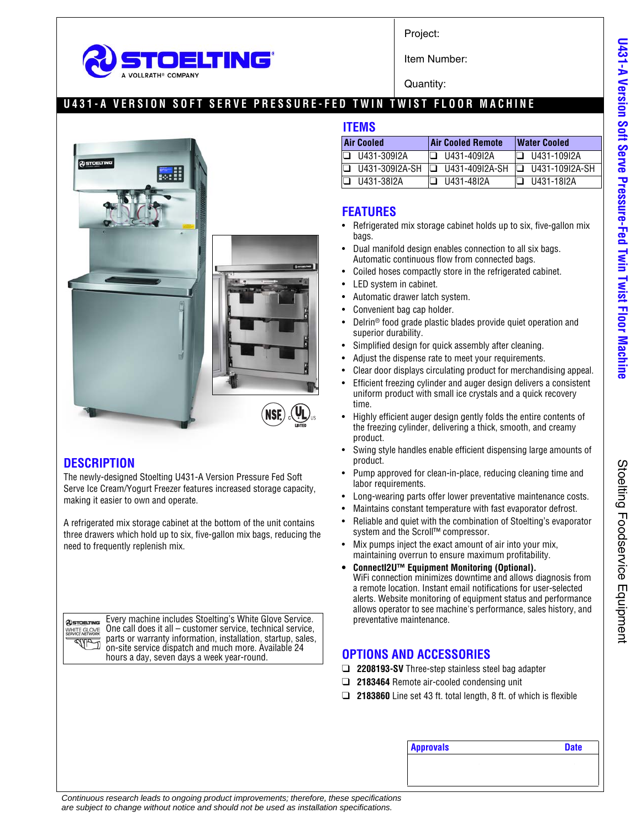

Project:

Item Number:

Quantity:

### **U431-A VERSION SOFT SERVE PRESSURE-FED TWIN TWIST FLOOR MACHINE**



#### **DESCRIPTION**

The newly-designed Stoelting U431-A Version Pressure Fed Soft Serve Ice Cream/Yogurt Freezer features increased storage capacity, making it easier to own and operate.

A refrigerated mix storage cabinet at the bottom of the unit contains three drawers which hold up to six, five-gallon mix bags, reducing the need to frequently replenish mix.

**@STOELTING** WHITE GLOVE **Subdivid** 

Every machine includes Stoelting's White Glove Service. One call does it all – customer service, technical service, parts or warranty information, installation, startup, sales, on-site service dispatch and much more. Available 24 hours a day, seven days a week year-round.

#### **ITEMS**

| <b>Air Cooled</b> | <b>Air Cooled Remote</b> | <b>Water Cooled</b>   |
|-------------------|--------------------------|-----------------------|
| U431-309I2A       | $\Box$ 11431-40912A      | I❑ U431-109I2A        |
| U431-309I2A-SH    | $\Box$ U431-409I2A-SH    | $\Box$ U431-109I2A-SH |
| U431-38I2A        | U431-48I2A               | U431-18I2A            |

#### **FEATURES**

- Refrigerated mix storage cabinet holds up to six, five-gallon mix bags.
- Dual manifold design enables connection to all six bags. Automatic continuous flow from connected bags.
- Coiled hoses compactly store in the refrigerated cabinet.
- LED system in cabinet.
- Automatic drawer latch system.
- Convenient bag cap holder.
- Delrin® food grade plastic blades provide quiet operation and superior durability.
- Simplified design for quick assembly after cleaning.
- Adjust the dispense rate to meet your requirements.
- Clear door displays circulating product for merchandising appeal.
- Efficient freezing cylinder and auger design delivers a consistent uniform product with small ice crystals and a quick recovery time.
- Highly efficient auger design gently folds the entire contents of the freezing cylinder, delivering a thick, smooth, and creamy product.
- Swing style handles enable efficient dispensing large amounts of product.
- Pump approved for clean-in-place, reducing cleaning time and labor requirements.
- Long-wearing parts offer lower preventative maintenance costs.
- Maintains constant temperature with fast evaporator defrost.
- Reliable and quiet with the combination of Stoelting's evaporator system and the Scroll™ compressor.
- Mix pumps inject the exact amount of air into your mix, maintaining overrun to ensure maximum profitability.
- **ConnectI2U™ Equipment Monitoring (Optional).** WiFi connection minimizes downtime and allows diagnosis from a remote location. Instant email notifications for user-selected alerts. Website monitoring of equipment status and performance allows operator to see machine's performance, sales history, and preventative maintenance.

### **OPTIONS AND ACCESSORIES**

- ❑ **2208193-SV** Three-step stainless steel bag adapter
- ❑ **2183464** Remote air-cooled condensing unit
- ❑ **2183860** Line set 43 ft. total length, 8 ft. of which is flexible

| <b>Approvals</b> | <b>Date</b> |
|------------------|-------------|
|                  |             |

U431-A Version Soft Serve Pressure-Fed Twin Twist Floor Machine **U431-A Version Soft Serve Pressure-Fed Twin Twist Floor Machine**

> Stoelting Foodservice Equipment Stoelting Foodservice Equipment

*Continuous research leads to ongoing product improvements; therefore, these specifications are subject to change without notice and should not be used as installation specifications.*